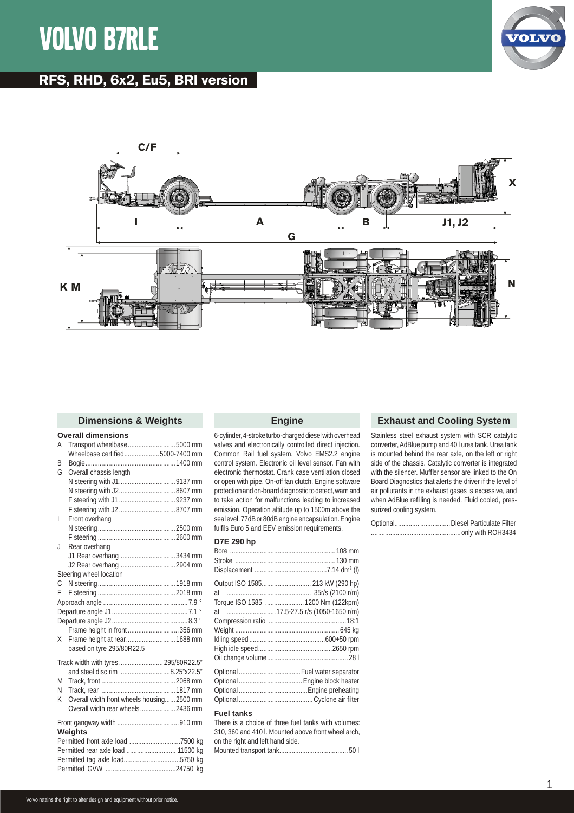

# **RFS, RHD, 6x2, Eu5, BRI version**



# **Dimensions & Weights**

# **Overall dimensions**

| A       | Transport wheelbase5000 mm                |  |
|---------|-------------------------------------------|--|
|         | Wheelbase certified5000-7400 mm           |  |
| B       |                                           |  |
| G       | Overall chassis length                    |  |
|         |                                           |  |
|         | N steering with J2 8607 mm                |  |
|         |                                           |  |
|         |                                           |  |
| I       | Front overhang                            |  |
|         |                                           |  |
|         |                                           |  |
| $\cdot$ | Rear overhang                             |  |
|         | J1 Rear overhang 3434 mm                  |  |
|         |                                           |  |
|         | Steering wheel location                   |  |
| C       |                                           |  |
| F       |                                           |  |
|         |                                           |  |
|         |                                           |  |
|         |                                           |  |
|         | Frame height in front  356 mm             |  |
| X.      | Frame height at rear 1688 mm              |  |
|         | based on tyre 295/80R22.5                 |  |
|         | Track width with tyres  295/80R22.5"      |  |
|         | and steel disc rim 8.25"x22.5"            |  |
| M       |                                           |  |
| N       |                                           |  |
| К       | Overall width front wheels housing2500 mm |  |
|         | Overall width rear wheels2436 mm          |  |
|         |                                           |  |
|         | <b>Weights</b>                            |  |
|         |                                           |  |
|         | Permitted rear axle load  11500 kg        |  |
|         |                                           |  |
|         |                                           |  |

# **Engine**

6-cylinder, 4-stroke turbo-charged diesel with overhead valves and electronically controlled direct injection. Common Rail fuel system. Volvo EMS2.2 engine control system. Electronic oil level sensor. Fan with electronic thermostat. Crank case ventilation closed or open with pipe. On-off fan clutch. Engine software protection and on-board diagnostic to detect, warn and to take action for malfunctions leading to increased emission. Operation altitude up to 1500m above the sea level. 77dB or 80dB engine encapsulation. Engine fulfils Euro 5 and EEV emission requirements.

#### **D7E 290 hp**

| Output ISO 1585 213 kW (290 hp)<br>at<br>Torque ISO 1585  1200 Nm (122kpm)<br>at - |  |
|------------------------------------------------------------------------------------|--|
|                                                                                    |  |

# **Fuel tanks**

There is a choice of three fuel tanks with volumes: 310, 360 and 410 l. Mounted above front wheel arch, on the right and left hand side. Mounted transport tank ....................................... 50 l

# **Exhaust and Cooling System**

Stainless steel exhaust system with SCR catalytic converter, AdBlue pump and 40 l urea tank. Urea tank is mounted behind the rear axle, on the left or right side of the chassis. Catalytic converter is integrated with the silencer. Muffler sensor are linked to the On Board Diagnostics that alerts the driver if the level of air pollutants in the exhaust gases is excessive, and when AdBlue refilling is needed. Fluid cooled, pressurized cooling system.

| Optional  Diesel Particulate Filter |
|-------------------------------------|
|                                     |